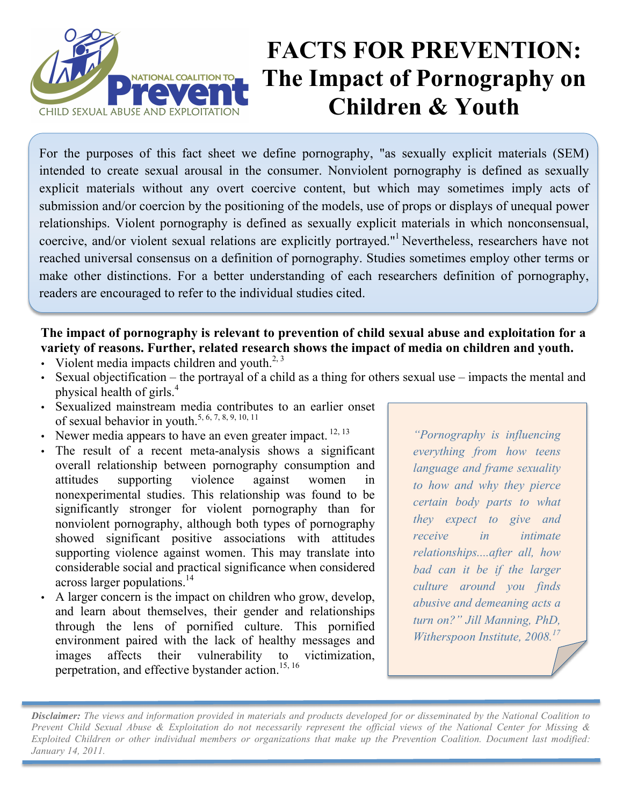

# **FACTS FOR PREVENTION: The Impact of Pornography on Children & Youth**

For the purposes of this fact sheet we define pornography, "as sexually explicit materials (SEM) intended to create sexual arousal in the consumer. Nonviolent pornography is defined as sexually explicit materials without any overt coercive content, but which may sometimes imply acts of submission and/or coercion by the positioning of the models, use of props or displays of unequal power relationships. Violent pornography is defined as sexually explicit materials in which nonconsensual, coercive, and/or violent sexual relations are explicitly portrayed."1 Nevertheless, researchers have not reached universal consensus on a definition of pornography. Studies sometimes employ other terms or make other distinctions. For a better understanding of each researchers definition of pornography, readers are encouraged to refer to the individual studies cited.

# **The impact of pornography is relevant to prevention of child sexual abuse and exploitation for a variety of reasons. Further, related research shows the impact of media on children and youth.**

- Violent media impacts children and youth.<sup>2, 3</sup>
- Sexual objectification the portrayal of a child as a thing for others sexual use impacts the mental and physical health of girls.4
- Sexualized mainstream media contributes to an earlier onset of sexual behavior in youth.<sup>5, 6, 7, 8, 9, 10, 11</sup>
- Newer media appears to have an even greater impact.  $^{12, 13}$
- The result of a recent meta-analysis shows a significant overall relationship between pornography consumption and attitudes supporting violence against women in nonexperimental studies. This relationship was found to be significantly stronger for violent pornography than for nonviolent pornography, although both types of pornography showed significant positive associations with attitudes supporting violence against women. This may translate into considerable social and practical significance when considered across larger populations. 14
- A larger concern is the impact on children who grow, develop, and learn about themselves, their gender and relationships through the lens of pornified culture. This pornified environment paired with the lack of healthy messages and images affects their vulnerability to victimization, perpetration, and effective bystander action.<sup>15, 16</sup>

*"Pornography is influencing everything from how teens language and frame sexuality to how and why they pierce certain body parts to what they expect to give and receive in intimate relationships....after all, how bad can it be if the larger culture around you finds abusive and demeaning acts a turn on?" Jill Manning, PhD, Witherspoon Institute, 2008.17*

*Disclaimer: The views and information provided in materials and products developed for or disseminated by the National Coalition to Prevent Child Sexual Abuse & Exploitation do not necessarily represent the official views of the National Center for Missing & Exploited Children or other individual members or organizations that make up the Prevention Coalition. Document last modified: January 14, 2011.*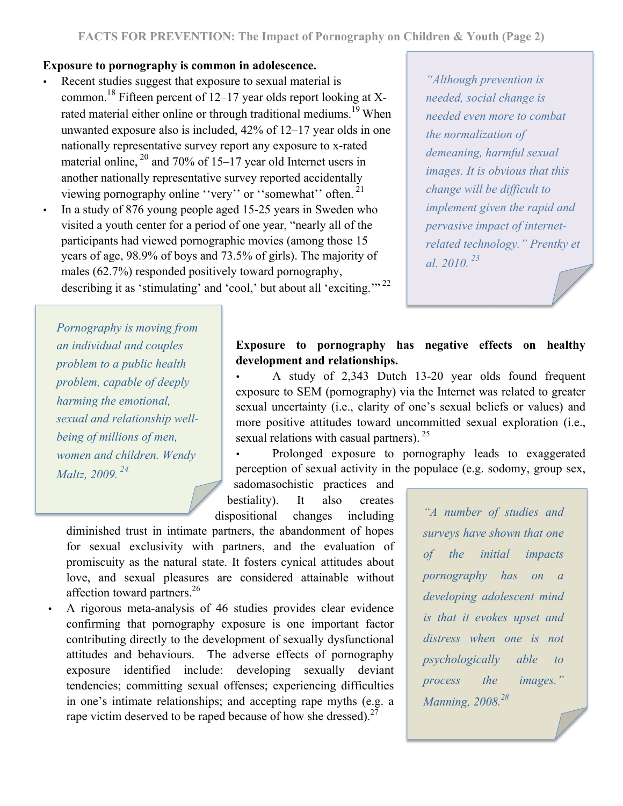#### **Exposure to pornography is common in adolescence.**

- Recent studies suggest that exposure to sexual material is common.<sup>18</sup> Fifteen percent of 12–17 year olds report looking at Xrated material either online or through traditional mediums.<sup>19</sup> When unwanted exposure also is included, 42% of 12–17 year olds in one nationally representative survey report any exposure to x-rated material online,  $^{20}$  and 70% of 15–17 year old Internet users in another nationally representative survey reported accidentally viewing pornography online ''very'' or ''somewhat'' often. <sup>21</sup>
- In a study of 876 young people aged 15-25 years in Sweden who visited a youth center for a period of one year, "nearly all of the participants had viewed pornographic movies (among those 15 years of age, 98.9% of boys and 73.5% of girls). The majority of males (62.7%) responded positively toward pornography, describing it as 'stimulating' and 'cool,' but about all 'exciting.'"<sup>22</sup>

*"Although prevention is needed, social change is needed even more to combat the normalization of demeaning, harmful sexual images. It is obvious that this change will be difficult to implement given the rapid and pervasive impact of internetrelated technology." Prentky et al. 2010. <sup>23</sup>*

*Pornography is moving from an individual and couples problem to a public health problem, capable of deeply harming the emotional, sexual and relationship wellbeing of millions of men, women and children. Wendy Maltz, 2009. 24*

## **Exposure to pornography has negative effects on healthy development and relationships.**

• A study of 2,343 Dutch 13-20 year olds found frequent exposure to SEM (pornography) via the Internet was related to greater sexual uncertainty (i.e., clarity of one's sexual beliefs or values) and more positive attitudes toward uncommitted sexual exploration (i.e., sexual relations with casual partners).<sup>25</sup>

• Prolonged exposure to pornography leads to exaggerated perception of sexual activity in the populace (e.g. sodomy, group sex,

sadomasochistic practices and bestiality). It also creates dispositional changes including

diminished trust in intimate partners, the abandonment of hopes for sexual exclusivity with partners, and the evaluation of promiscuity as the natural state. It fosters cynical attitudes about love, and sexual pleasures are considered attainable without affection toward partners.<sup>26</sup>

• A rigorous meta-analysis of 46 studies provides clear evidence confirming that pornography exposure is one important factor contributing directly to the development of sexually dysfunctional attitudes and behaviours. The adverse effects of pornography exposure identified include: developing sexually deviant tendencies; committing sexual offenses; experiencing difficulties in one's intimate relationships; and accepting rape myths (e.g. a rape victim deserved to be raped because of how she dressed). $27$ 

*"A number of studies and surveys have shown that one of the initial impacts pornography has on a developing adolescent mind is that it evokes upset and distress when one is not psychologically able to process the images." Manning, 2008. 28*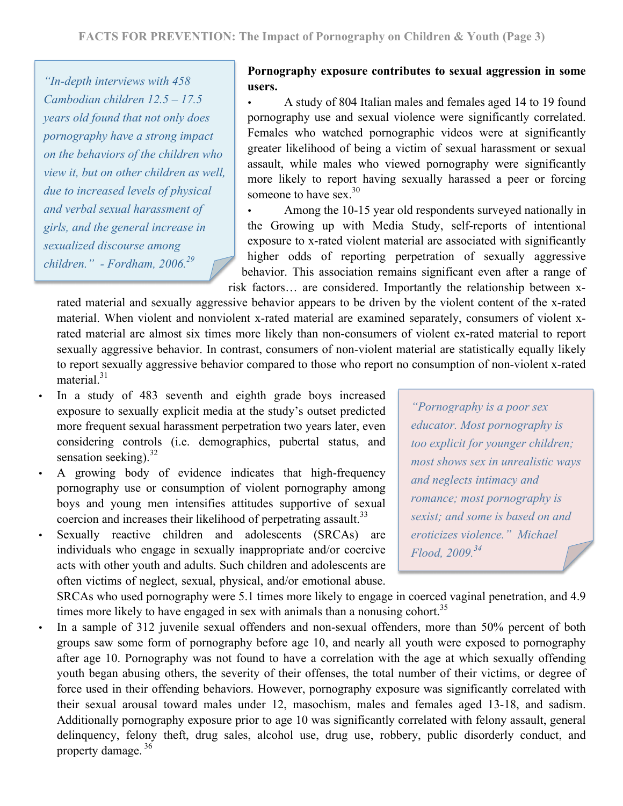*"In-depth interviews with 458 Cambodian children 12.5 – 17.5 years old found that not only does pornography have a strong impact on the behaviors of the children who view it, but on other children as well, due to increased levels of physical and verbal sexual harassment of girls, and the general increase in sexualized discourse among children." - Fordham, 2006.<sup>29</sup>*

## **Pornography exposure contributes to sexual aggression in some users.**

• A study of 804 Italian males and females aged 14 to 19 found pornography use and sexual violence were significantly correlated. Females who watched pornographic videos were at significantly greater likelihood of being a victim of sexual harassment or sexual assault, while males who viewed pornography were significantly more likely to report having sexually harassed a peer or forcing someone to have sex. $30$ 

Among the 10-15 year old respondents surveyed nationally in the Growing up with Media Study, self-reports of intentional exposure to x-rated violent material are associated with significantly higher odds of reporting perpetration of sexually aggressive behavior. This association remains significant even after a range of risk factors… are considered. Importantly the relationship between x-

rated material and sexually aggressive behavior appears to be driven by the violent content of the x-rated material. When violent and nonviolent x-rated material are examined separately, consumers of violent xrated material are almost six times more likely than non-consumers of violent ex-rated material to report sexually aggressive behavior. In contrast, consumers of non-violent material are statistically equally likely to report sexually aggressive behavior compared to those who report no consumption of non-violent x-rated material. $31$ 

- In a study of 483 seventh and eighth grade boys increased exposure to sexually explicit media at the study's outset predicted more frequent sexual harassment perpetration two years later, even considering controls (i.e. demographics, pubertal status, and sensation seeking). $32$
- A growing body of evidence indicates that high-frequency pornography use or consumption of violent pornography among boys and young men intensifies attitudes supportive of sexual coercion and increases their likelihood of perpetrating assault.<sup>33</sup>
- Sexually reactive children and adolescents (SRCAs) are individuals who engage in sexually inappropriate and/or coercive acts with other youth and adults. Such children and adolescents are often victims of neglect, sexual, physical, and/or emotional abuse.

*"Pornography is a poor sex educator. Most pornography is too explicit for younger children; most shows sex in unrealistic ways and neglects intimacy and romance; most pornography is sexist; and some is based on and eroticizes violence." Michael Flood, 2009. 34*

SRCAs who used pornography were 5.1 times more likely to engage in coerced vaginal penetration, and 4.9 times more likely to have engaged in sex with animals than a nonusing cohort.<sup>35</sup>

In a sample of 312 juvenile sexual offenders and non-sexual offenders, more than 50% percent of both groups saw some form of pornography before age 10, and nearly all youth were exposed to pornography after age 10. Pornography was not found to have a correlation with the age at which sexually offending youth began abusing others, the severity of their offenses, the total number of their victims, or degree of force used in their offending behaviors. However, pornography exposure was significantly correlated with their sexual arousal toward males under 12, masochism, males and females aged 13-18, and sadism. Additionally pornography exposure prior to age 10 was significantly correlated with felony assault, general delinquency, felony theft, drug sales, alcohol use, drug use, robbery, public disorderly conduct, and property damage. <sup>36</sup>